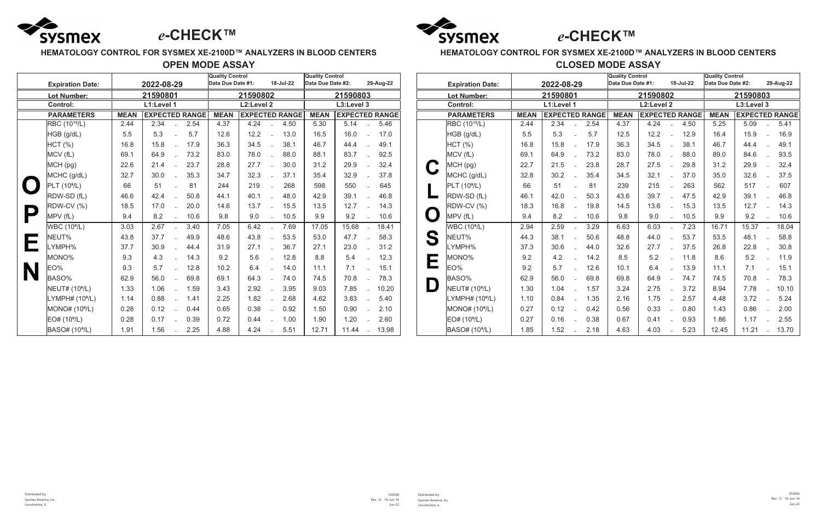

## **HEMATOLOGY CONTROL FOR SYSMEX XE-2100D™ ANALYZERS IN BLOOD CENTERS**

# **OPEN MODE ASSAY**

|   |                                       |             |            |  |                       | <b>Quality Control</b><br>Data Due Date #1:<br>18-Jul-22 |      |                | Quality Control                |             |       |                |                       |  |
|---|---------------------------------------|-------------|------------|--|-----------------------|----------------------------------------------------------|------|----------------|--------------------------------|-------------|-------|----------------|-----------------------|--|
|   | 2022-08-29<br><b>Expiration Date:</b> |             |            |  |                       |                                                          |      |                | Data Due Date #2:<br>29-Aug-22 |             |       |                |                       |  |
|   | <b>Lot Number:</b>                    |             | 21590801   |  |                       | 21590802                                                 |      | 21590803       |                                |             |       |                |                       |  |
|   | <b>Control:</b>                       |             | L1:Level 1 |  |                       | L2:Level 2                                               |      | L3:Level 3     |                                |             |       |                |                       |  |
|   | <b>PARAMETERS</b>                     | <b>MEAN</b> |            |  | <b>EXPECTED RANGE</b> | <b>MEAN</b>                                              |      |                | <b>EXPECTED RANGE</b>          | <b>MEAN</b> |       |                | <b>EXPECTED RANGE</b> |  |
|   | RBC (10 <sup>12</sup> /L)             | 2.44        | 2.34       |  | 2.54                  | 4.37                                                     | 4.24 | $\overline{a}$ | 4.50                           | 5.30        | 5.14  | $\overline{a}$ | 5.46                  |  |
|   | HGB (g/dL)                            | 5.5         | 5.3        |  | 5.7                   | 12.6                                                     | 12.2 |                | 13.0                           | 16.5        | 16.0  |                | 17.0                  |  |
|   | <b>HCT</b> (%)                        | 16.8        | 15.8       |  | 17.9                  | 36.3                                                     | 34.5 | $\overline{a}$ | 38.1                           | 46.7        | 44.4  | $\overline{a}$ | 49.1                  |  |
|   | MCV (fL)                              | 69.1        | 64.9       |  | 73.2                  | 83.0                                                     | 78.0 |                | 88.0                           | 88.1        | 83.7  |                | 92.5                  |  |
|   | MCH (pg)                              | 22.6        | 21.4       |  | 23.7                  | 28.8                                                     | 27.7 | $\overline{a}$ | 30.0                           | 31.2        | 29.9  |                | 32.4                  |  |
|   | MCHC (g/dL)                           | 32.7        | 30.0       |  | 35.3                  | 34.7                                                     | 32.3 |                | 37.1                           | 35.4        | 32.9  |                | 37.8                  |  |
|   | PLT (10 <sup>9</sup> /L)              | 66          | 51         |  | 81                    | 244                                                      | 219  | $\overline{a}$ | 268                            | 598         | 550   | $\overline{a}$ | 645                   |  |
|   | RDW-SD (fL)                           | 46.6        | 42.4       |  | 50.8                  | 44.1                                                     | 40.1 |                | 48.0                           | 42.9        | 39.1  |                | 46.8                  |  |
|   | <b>RDW-CV (%)</b>                     | 18.5        | 17.0       |  | 20.0                  | 14.6                                                     | 13.7 |                | 15.5                           | 13.5        | 12.7  | $\overline{a}$ | 14.3                  |  |
|   | MPV (fL)                              | 9.4         | 8.2        |  | 10.6                  | 9.8                                                      | 9.0  |                | 10.5                           | 9.9         | 9.2   |                | 10.6                  |  |
|   | WBC (10 <sup>9</sup> /L)              | 3.03        | 2.67       |  | 3.40                  | 7.05                                                     | 6.42 | $\overline{a}$ | 7.69                           | 17.05       | 15.68 | $\overline{a}$ | 18.41                 |  |
|   | NEUT%                                 | 43.8        | 37.7       |  | 49.9                  | 48.6                                                     | 43.8 |                | 53.5                           | 53.0        | 47.7  |                | 58.3                  |  |
|   | LYMPH%                                | 37.7        | 30.9       |  | 44.4                  | 31.9                                                     | 27.1 |                | 36.7                           | 27.1        | 23.0  |                | 31.2                  |  |
|   | <b>MONO%</b>                          | 9.3         | 4.3        |  | 14.3                  | 9.2                                                      | 5.6  |                | 12.8                           | 8.8         | 5.4   |                | 12.3                  |  |
| N | EO%                                   | 9.3         | 5.7        |  | 12.8                  | 10.2                                                     | 6.4  |                | 14.0                           | 11.1        | 7.1   |                | 15.1                  |  |
|   | BASO%                                 | 62.9        | 56.0       |  | 69.8                  | 69.1                                                     | 64.3 | $\overline{a}$ | 74.0                           | 74.5        | 70.8  | $\overline{a}$ | 78.3                  |  |
|   | NEUT# (10 <sup>9</sup> /L)            | 1.33        | 1.06       |  | 1.59                  | 3.43                                                     | 2.92 |                | 3.95                           | 9.03        | 7.85  |                | 10.20                 |  |
|   | LYMPH# (10 <sup>9</sup> /L)           | 1.14        | 0.88       |  | 1.41                  | 2.25                                                     | 1.82 |                | 2.68                           | 4.62        | 3.83  |                | 5.40                  |  |
|   | MONO# (10 <sup>9</sup> /L)            | 0.28        | 0.12       |  | 0.44                  | 0.65                                                     | 0.38 |                | 0.92                           | 1.50        | 0.90  |                | 2.10                  |  |
|   | EOH (10 <sup>9</sup> /L)              | 0.28        | 0.17       |  | 0.39                  | 0.72                                                     | 0.44 |                | 1.00                           | 1.90        | 1.20  |                | 2.60                  |  |
|   | BASO# (10 <sup>9</sup> /L)            | 1.91        | 1.56       |  | 2.25                  | 4.88                                                     | 4.24 |                | 5.51                           | 12.71       | 11.44 |                | 13.98                 |  |

# **HEMATOLOGY CONTROL FOR SYSMEX XE-2100D™ ANALYZERS IN BLOOD CENTERS**

# **Quality Control**<br> **Data Due Date #1:** 18-Jul-22 Data Due Date #2: **Expiration Date: 2022-08-29 Data Due Date #1: 18-Jul-22 Data Due Date #2: 29-Aug-22 Lot Number: 21590801 21590802 21590803 Control: L1:Level 1 L2:Level 2 L3:Level 3 PARAMETERS MEAN EXPECTED RANGE MEAN EXPECTED RANGE MEAN EXPECTED RANGE** RBC (10'<sup>2</sup>/L) | 2.44 | 2.34 - 2.54 | 4.37 | 4.24 - 4.50 | 5.25 | 5.09 - 5.41 HGB (g/dL) | 5.5 | 5.3 <sub>-</sub> 5.7 | 12.5 | 12.2 - 12.9 | 16.4 | 15.9 - 16.9 HCT (%) 16.8 15.8 - 17.9 36.3 34.5 - 38.1 46.7 44.4 - 49.1 MCV (fL) | 69.1 | 64.9 - 73.2 | 83.0 | 78.0 - 88.0 | 89.0 | 84.6 - 93.5 MCH (pg) 22.7 21.5 - 23.8 28.7 27.5 - 29.8 31.2 29.9 - 32.4 MCHC (g/dL) 32.8 30.2 - 35.4 34.5 32.1 - 37.0 35.0 32.6 - 37.5 PLT (10⁹/L) 66 51 - 81 239 215 - 263 562 517 - 607 RDW-SD (fL) | 46.1 | 42.0 - 50.3 | 43.6 | 39.7 - 47.5 | 42.9 | 39.1 - 46.8 RDW-CV (%) | 18.3 | 16.8 <sub>-</sub> 19.8 | 14.5 | 13.6 <sub>-</sub> 15.3 | 13.5 | 12.7 <sub>-</sub> 14.3 MPV (fL) 9.4 8.2 - 10.6 9.8 9.0 - 10.5 9.9 9.2 - 10.6 WBC (10º/L) | 2.94 | 2.59 3.29 | 6.63 | 6.03 7.23 | 16.71 | 15.37 18.04 NEUT% | 44.3 | 38.1 - 50.6 | 48.8 | 44.0 - 53.7 | 53.5 | 48.1 - 58.8 LYMPH% 37.3 30.6 - 44.0 32.6 27.7 - 37.5 26.8 22.8 - 30.8 MONO% | 9.2 | 4.2 - 14.2 | 8.5 | 5.2 - 11.8 | 8.6 | 5.2 - 11.9 EO% 9.2 5.7 - 12.6 10.1 6.4 - 13.9 11.1 7.1 - 15.1 BASO% | 62.9 | 56.0 - 69.8 | 69.8 | 64.9 - 74.7 | 74.5 | 70.8 - 78.3 NEUT# (10°/L) | 1.30 | 1.04 - 1.57 | 3.24 | 2.75 - 3.72 | 8.94 | 7.78 - 10.10 LYMPH# (10°/L) | 1.10 | 0.84 - 1.35 | 2.16 | 1.75 - 2.57 | 4.48 | 3.72 - 5.24 MONO# (10⁹/L) 0.27 0.12 - 0.42 0.56 0.33 - 0.80 1.43 0.86 - 2.00 EO# (10⁹/L) 0.27 0.16 - 0.38 0.67 0.41 - 0.93 1.86 1.17 - 2.55 4.63 4.03 - 5.23 12.45 11.21 - 13.70

**CLOSED MODE ASSAY**

|             | <b>Expiration Date:</b>     | 2022-08-29  |                       |                |      |  |  |  |  |  |  |
|-------------|-----------------------------|-------------|-----------------------|----------------|------|--|--|--|--|--|--|
|             | Lot Number:                 | 21590801    |                       |                |      |  |  |  |  |  |  |
|             | <b>Control:</b>             | L1:Level 1  |                       |                |      |  |  |  |  |  |  |
|             | <b>PARAMETERS</b>           | <b>MEAN</b> | <b>EXPECTED RANGE</b> |                |      |  |  |  |  |  |  |
|             | RBC (10 <sup>12</sup> /L)   | 2.44        | 2.34                  |                | 2.54 |  |  |  |  |  |  |
|             | HGB (g/dL)                  | 5.5         | 5.3                   | $\overline{a}$ | 5.7  |  |  |  |  |  |  |
|             | HCT (%)                     | 16.8        | 15.8                  |                | 17.9 |  |  |  |  |  |  |
|             | MCV (fL)                    | 69.1        | 64.9                  | $\overline{a}$ | 73.2 |  |  |  |  |  |  |
| $\mathbf C$ | MCH (pg)                    | 22.7        | 21.5                  | $\overline{a}$ | 23.8 |  |  |  |  |  |  |
|             | MCHC (g/dL)                 | 32.8        | 30.2                  | $\overline{a}$ | 35.4 |  |  |  |  |  |  |
|             | PLT (10 <sup>9</sup> /L)    | 66          | 51                    | $\overline{a}$ | 81   |  |  |  |  |  |  |
|             | RDW-SD (fL)                 | 46.1        | 42.0                  | $\overline{a}$ | 50.3 |  |  |  |  |  |  |
|             | RDW-CV (%)                  | 18.3        | 16.8                  | $\overline{a}$ | 19.8 |  |  |  |  |  |  |
| $\mathbf 0$ | MPV (fL)                    | 9.4         | 8.2                   | $\overline{a}$ | 10.6 |  |  |  |  |  |  |
|             | WBC(10 <sup>9</sup> /L)     | 2.94        | 2.59                  | $\overline{a}$ | 3.29 |  |  |  |  |  |  |
| S           | NEUT%                       | 44.3        | 38.1                  | $\overline{a}$ | 50.6 |  |  |  |  |  |  |
|             | LYMPH%                      | 37.3        | 30.6                  | $\overline{a}$ | 44.0 |  |  |  |  |  |  |
|             | MONO%                       | 9.2         | 4.2                   |                | 14.2 |  |  |  |  |  |  |
|             | EO%                         | 9.2         | 5.7                   |                | 12.6 |  |  |  |  |  |  |
|             | BASO%                       | 62.9        | 56.0                  |                | 69.8 |  |  |  |  |  |  |
| D           | NEUT# (10 <sup>9</sup> /L)  | 1.30        | 1.04                  | $\overline{a}$ | 1.57 |  |  |  |  |  |  |
|             | LYMPH# (10 <sup>9</sup> /L) | 1.10        | 0.84                  |                | 1.35 |  |  |  |  |  |  |
|             | MONO# (10 <sup>9</sup> /L)  | 0.27        | 0.12                  | $\overline{a}$ | 0.42 |  |  |  |  |  |  |
|             | EO# (10 <sup>9</sup> /L)    | 0.27        | 0.16                  | $\overline{a}$ | 0.38 |  |  |  |  |  |  |
|             | BASO# (10 <sup>9</sup> /L)  | 1.85        | 1.52                  | $\sim$ $-$     | 2.18 |  |  |  |  |  |  |

Distributed by: Sysmex America, Inc. Lincolnshire, IL